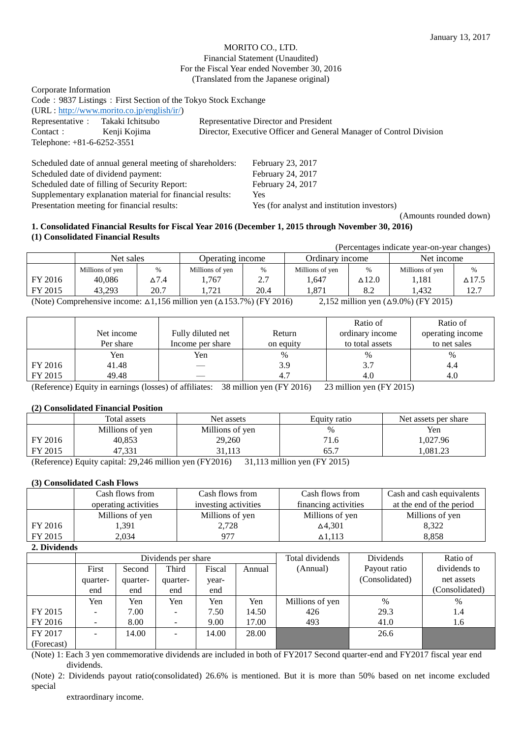## MORITO CO., LTD. Financial Statement (Unaudited) For the Fiscal Year ended November 30, 2016 (Translated from the Japanese original)

| Corporate Information             |                                                                |                                                                     |
|-----------------------------------|----------------------------------------------------------------|---------------------------------------------------------------------|
|                                   | Code: 9837 Listings: First Section of the Tokyo Stock Exchange |                                                                     |
|                                   | $(URL: http://www.morito.co.jp/english/ir/})$                  |                                                                     |
| Representative : Takaki Ichitsubo |                                                                | Representative Director and President                               |
| Contact:                          | Kenji Kojima                                                   | Director, Executive Officer and General Manager of Control Division |
| Telephone: $+81-6-6252-3551$      |                                                                |                                                                     |

| Scheduled date of annual general meeting of shareholders: | February 23, 2017                           |
|-----------------------------------------------------------|---------------------------------------------|
| Scheduled date of dividend payment:                       | February 24, 2017                           |
| Scheduled date of filling of Security Report:             | February 24, 2017                           |
| Supplementary explanation material for financial results: | Yes                                         |
| Presentation meeting for financial results:               | Yes (for analyst and institution investors) |

(Amounts rounded down)

## **1. Consolidated Financial Results for Fiscal Year 2016 (December 1, 2015 through November 30, 2016) (1) Consolidated Financial Results**

| (Percentages indicate year-on-year changes) |                 |      |                  |          |                 |               |                 |               |
|---------------------------------------------|-----------------|------|------------------|----------|-----------------|---------------|-----------------|---------------|
|                                             | Net sales       |      | Operating income |          | Ordinary income |               | Net income      |               |
|                                             | Millions of yen | $\%$ | Millions of yen  | $\%$     | Millions of yen | $\frac{0}{0}$ | Millions of yen | %             |
| FY 2016                                     | 40.086          | ∆7.4 | .767             | つつ<br>∼. | 1.647           | $\Delta$ 12.0 | 1.181           | $\Delta$ 17.5 |
| FY 2015                                     | 43.293          | 20.7 | .721             | 20.4     | 1.871           | 8.2           | 1.432           | 12.7          |

(Note) Comprehensive income: △1,156 million yen (△153.7%) (FY 2016) 2,152 million yen (△9.0%) (FY 2015)

|         |            |                   |           | Ratio of        | Ratio of         |
|---------|------------|-------------------|-----------|-----------------|------------------|
|         | Net income | Fully diluted net | Return    | ordinary income | operating income |
|         | Per share  | Income per share  | on equity | to total assets | to net sales     |
|         | Yen        | Yen               | %         | $\%$            | %                |
| FY 2016 | 41.48      |                   | 3.9       | 3.7             | 4.4              |
| FY 2015 | 49.48      |                   | 4.        | 4.0             | 4.0              |

(Reference) Equity in earnings (losses) of affiliates: 38 million yen (FY 2016) 23 million yen (FY 2015)

#### **(2) Consolidated Financial Position**

|         | Total assets                                                                                                                                                                                                                                                                                                                                                | Net assets      | Equity ratio                       | Net assets per share |
|---------|-------------------------------------------------------------------------------------------------------------------------------------------------------------------------------------------------------------------------------------------------------------------------------------------------------------------------------------------------------------|-----------------|------------------------------------|----------------------|
|         | Millions of yen                                                                                                                                                                                                                                                                                                                                             | Millions of yen | $\%$                               | Yen                  |
| FY 2016 | 40,853                                                                                                                                                                                                                                                                                                                                                      | 29,260          | 1.6                                | 1,027.96             |
| FY 2015 | 47,331                                                                                                                                                                                                                                                                                                                                                      | 31.113          | 65.1                               | .081.23              |
|         | $\mathcal{D}$ $\mathcal{L}$ $\mathcal{D}$ $\mathcal{L}$ $\mathcal{D}$ $\mathcal{D}$ $\mathcal{L}$ $\mathcal{D}$ $\mathcal{D}$ $\mathcal{D}$ $\mathcal{D}$ $\mathcal{D}$ $\mathcal{D}$ $\mathcal{D}$ $\mathcal{D}$ $\mathcal{D}$ $\mathcal{D}$ $\mathcal{D}$ $\mathcal{D}$ $\mathcal{D}$ $\mathcal{D}$ $\mathcal{D}$ $\mathcal{D}$ $\mathcal{D}$ $\mathcal{$ |                 | $21.112 \t 11'$ $(\text{IV70015})$ |                      |

(Reference) Equity capital: 29,246 million yen (FY2016) 31,113 million yen (FY 2015)

#### **(3) Consolidated Cash Flows**

|         | Cash flows from                              | Cash flows from | Cash flows from      | Cash and cash equivalents |
|---------|----------------------------------------------|-----------------|----------------------|---------------------------|
|         | operating activities<br>investing activities |                 | financing activities | at the end of the period  |
|         | Millions of yen                              | Millions of yen | Millions of yen      | Millions of yen           |
| FY 2016 | .391                                         | 2.728           | $\Delta$ 4,301       | 8,322                     |
| FY 2015 | 2.034                                        | 977             | $\Delta$ 1.113       | 8,858                     |

**2. Dividends**

|            | Dividends per share |          |                          |        |        | Total dividends | Dividends      | Ratio of       |
|------------|---------------------|----------|--------------------------|--------|--------|-----------------|----------------|----------------|
|            | First               | Second   | Third                    | Fiscal | Annual | (Annual)        | Payout ratio   | dividends to   |
|            | quarter-            | quarter- | quarter-                 | year-  |        |                 | (Consolidated) | net assets     |
|            | end                 | end      | end                      | end    |        |                 |                | (Consolidated) |
|            | Yen                 | Yen      | Yen                      | Yen    | Yen    | Millions of yen | $\%$           | $\%$           |
| FY 2015    | -                   | 7.00     | $\overline{\phantom{a}}$ | 7.50   | 14.50  | 426             | 29.3           | 1.4            |
| FY 2016    |                     | 8.00     |                          | 9.00   | 17.00  | 493             | 41.0           | 1.6            |
| FY 2017    |                     | 14.00    |                          | 14.00  | 28.00  |                 | 26.6           |                |
| (Forecast) |                     |          |                          |        |        |                 |                |                |

(Note) 1: Each 3 yen commemorative dividends are included in both of FY2017 Second quarter-end and FY2017 fiscal year end dividends.

(Note) 2: Dividends payout ratio(consolidated) 26.6% is mentioned. But it is more than 50% based on net income excluded special

extraordinary income.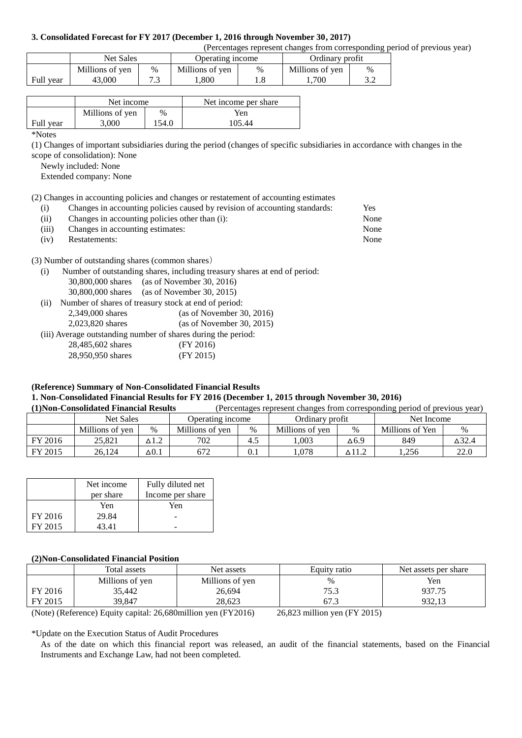#### **3. Consolidated Forecast for FY 2017 (December 1, 2016 through November 30, 2017)**

(Percentages represent changes from corresponding period of previous year)

|           | Net Sales       |   | Operating income |   | Ordinary profit |      |
|-----------|-----------------|---|------------------|---|-----------------|------|
|           | Millions of yen | % | Millions of yen  | % | Millions of yen | $\%$ |
| Full year | 43,000          |   | .800             |   | .700            |      |

|           | Net income      |       | Net income per share |
|-----------|-----------------|-------|----------------------|
|           | Millions of yen | $\%$  | Yen                  |
| Full year | 3,000           | 154.0 | 105.44               |

\*Notes

(1) Changes of important subsidiaries during the period (changes of specific subsidiaries in accordance with changes in the scope of consolidation): None

Newly included: None

Extended company: None

(2) Changes in accounting policies and changes or restatement of accounting estimates

| (1)   | Changes in accounting policies caused by revision of accounting standards: | Yes  |
|-------|----------------------------------------------------------------------------|------|
| (i)   | Changes in accounting policies other than (i):                             | None |
| (iii) | Changes in accounting estimates:                                           | None |
| (iv)  | Restatements:                                                              | None |
|       |                                                                            |      |
|       | (3) Number of outstanding shares (common shares)                           |      |

(i) Number of outstanding shares, including treasury shares at end of period: 30,800,000 shares (as of November 30, 2016) 30,800,000 shares (as of November 30, 2015) (ii) Number of shares of treasury stock at end of period:

2,349,000 shares (as of November 30, 2016) 2,023,820 shares (as of November 30, 2015) (iii) Average outstanding number of shares during the period:

| 28,485,602 shares | (FY 2016) |  |
|-------------------|-----------|--|
| 28,950,950 shares | (FY 2015) |  |

#### **(Reference) Summary of Non-Consolidated Financial Results 1. Non-Consolidated Financial Results for FY 2016 (December 1, 2015 through November 30, 2016)**

**(1)Non-Consolidated Financial Results** (Percentages represent changes from corresponding period of previous year)

|         | <b>Net Sales</b> |             | Operating income |      | Ordinary profit |              | Net Income      |       |
|---------|------------------|-------------|------------------|------|-----------------|--------------|-----------------|-------|
|         | Millions of yen  | $\%$        | Millions of ven  | $\%$ | Millions of yen | $\%$         | Millions of Yen | $\%$  |
| FY 2016 | 25.821           | $\Delta1.2$ | 702              | 4.1  | ,003            | $\Delta 6.9$ | 849             | ∆32.4 |
| FY 2015 | 26.124           | $\Delta0.1$ | 672              | 0.1  | .078            | ∆11.2        | 1.256           | 22.0  |

|         | Net income | Fully diluted net |
|---------|------------|-------------------|
|         | per share  | Income per share  |
|         | Yen        | Yen               |
| FY 2016 | 29.84      |                   |
| FY 2015 | 43 41      |                   |

#### **(2)Non-Consolidated Financial Position**

|         | Total assets    | Net assets      | Equity ratio | Net assets per share |
|---------|-----------------|-----------------|--------------|----------------------|
|         | Millions of yen | Millions of yen | $\%$         | Yen                  |
| FY 2016 | 35,442          | 26,694          | 75.3         | 937.75               |
| FY 2015 | 39.847          | 28.623          |              | 932.13               |
|         |                 |                 |              |                      |

(Note) (Reference) Equity capital: 26,680million yen (FY2016) 26,823 million yen (FY 2015)

\*Update on the Execution Status of Audit Procedures

As of the date on which this financial report was released, an audit of the financial statements, based on the Financial Instruments and Exchange Law, had not been completed.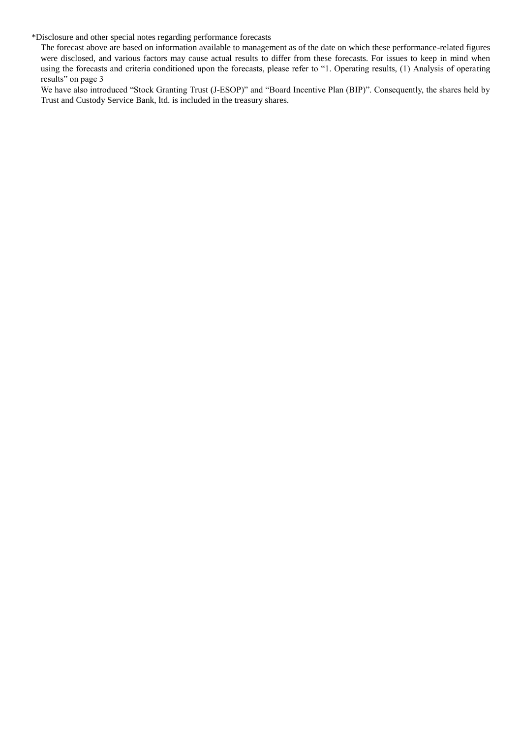\*Disclosure and other special notes regarding performance forecasts

The forecast above are based on information available to management as of the date on which these performance-related figures were disclosed, and various factors may cause actual results to differ from these forecasts. For issues to keep in mind when using the forecasts and criteria conditioned upon the forecasts, please refer to "1. Operating results, (1) Analysis of operating results" on page 3

We have also introduced "Stock Granting Trust (J-ESOP)" and "Board Incentive Plan (BIP)". Consequently, the shares held by Trust and Custody Service Bank, ltd. is included in the treasury shares.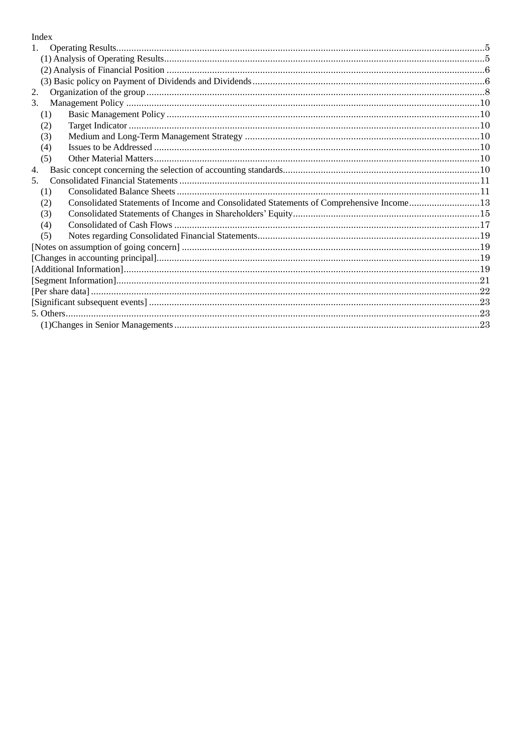# Index

| $1_{\cdot}$ |                                                                                         |  |
|-------------|-----------------------------------------------------------------------------------------|--|
|             |                                                                                         |  |
|             |                                                                                         |  |
|             |                                                                                         |  |
| 2.          |                                                                                         |  |
| 3.          |                                                                                         |  |
| (1)         |                                                                                         |  |
| (2)         |                                                                                         |  |
| (3)         |                                                                                         |  |
| (4)         |                                                                                         |  |
| (5)         |                                                                                         |  |
| 4.          |                                                                                         |  |
| $5_{-}$     |                                                                                         |  |
| (1)         |                                                                                         |  |
| (2)         | Consolidated Statements of Income and Consolidated Statements of Comprehensive Income13 |  |
| (3)         |                                                                                         |  |
| (4)         |                                                                                         |  |
| (5)         |                                                                                         |  |
|             |                                                                                         |  |
|             |                                                                                         |  |
|             |                                                                                         |  |
|             |                                                                                         |  |
|             |                                                                                         |  |
|             |                                                                                         |  |
|             |                                                                                         |  |
|             |                                                                                         |  |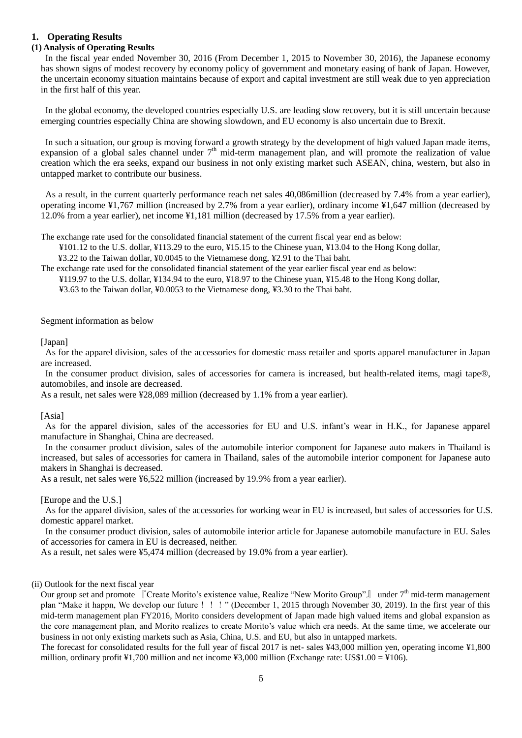## <span id="page-4-0"></span>**1. Operating Results**

# <span id="page-4-1"></span>**(1) Analysis of Operating Results**

In the fiscal year ended November 30, 2016 (From December 1, 2015 to November 30, 2016), the Japanese economy has shown signs of modest recovery by economy policy of government and monetary easing of bank of Japan. However, the uncertain economy situation maintains because of export and capital investment are still weak due to yen appreciation in the first half of this year.

In the global economy, the developed countries especially U.S. are leading slow recovery, but it is still uncertain because emerging countries especially China are showing slowdown, and EU economy is also uncertain due to Brexit.

In such a situation, our group is moving forward a growth strategy by the development of high valued Japan made items, expansion of a global sales channel under  $7<sup>th</sup>$  mid-term management plan, and will promote the realization of value creation which the era seeks, expand our business in not only existing market such ASEAN, china, western, but also in untapped market to contribute our business.

As a result, in the current quarterly performance reach net sales 40,086million (decreased by 7.4% from a year earlier), operating income ¥1,767 million (increased by 2.7% from a year earlier), ordinary income ¥1,647 million (decreased by 12.0% from a year earlier), net income ¥1,181 million (decreased by 17.5% from a year earlier).

The exchange rate used for the consolidated financial statement of the current fiscal year end as below:

¥101.12 to the U.S. dollar, ¥113.29 to the euro, ¥15.15 to the Chinese yuan, ¥13.04 to the Hong Kong dollar,

¥3.22 to the Taiwan dollar, ¥0.0045 to the Vietnamese dong, ¥2.91 to the Thai baht.

The exchange rate used for the consolidated financial statement of the year earlier fiscal year end as below:

¥119.97 to the U.S. dollar, ¥134.94 to the euro, ¥18.97 to the Chinese yuan, ¥15.48 to the Hong Kong dollar,

¥3.63 to the Taiwan dollar, ¥0.0053 to the Vietnamese dong, ¥3.30 to the Thai baht.

Segment information as below

[Japan]

As for the apparel division, sales of the accessories for domestic mass retailer and sports apparel manufacturer in Japan are increased.

In the consumer product division, sales of accessories for camera is increased, but health-related items, magi tape®, automobiles, and insole are decreased.

As a result, net sales were ¥28,089 million (decreased by 1.1% from a year earlier).

[Asia]

As for the apparel division, sales of the accessories for EU and U.S. infant's wear in H.K., for Japanese apparel manufacture in Shanghai, China are decreased.

In the consumer product division, sales of the automobile interior component for Japanese auto makers in Thailand is increased, but sales of accessories for camera in Thailand, sales of the automobile interior component for Japanese auto makers in Shanghai is decreased.

As a result, net sales were ¥6,522 million (increased by 19.9% from a year earlier).

[Europe and the U.S.]

As for the apparel division, sales of the accessories for working wear in EU is increased, but sales of accessories for U.S. domestic apparel market.

In the consumer product division, sales of automobile interior article for Japanese automobile manufacture in EU. Sales of accessories for camera in EU is decreased, neither.

As a result, net sales were ¥5,474 million (decreased by 19.0% from a year earlier).

(ii) Outlook for the next fiscal year

Our group set and promote 『Create Morito's existence value, Realize "New Morito Group"』 under 7<sup>th</sup> mid-term management plan "Make it happn, We develop our future!!!" (December 1, 2015 through November 30, 2019). In the first year of this mid-term management plan FY2016, Morito considers development of Japan made high valued items and global expansion as the core management plan, and Morito realizes to create Morito's value which era needs. At the same time, we accelerate our business in not only existing markets such as Asia, China, U.S. and EU, but also in untapped markets.

The forecast for consolidated results for the full year of fiscal 2017 is net- sales ¥43,000 million yen, operating income ¥1,800 million, ordinary profit ¥1,700 million and net income ¥3,000 million (Exchange rate: US\$1.00 = ¥106).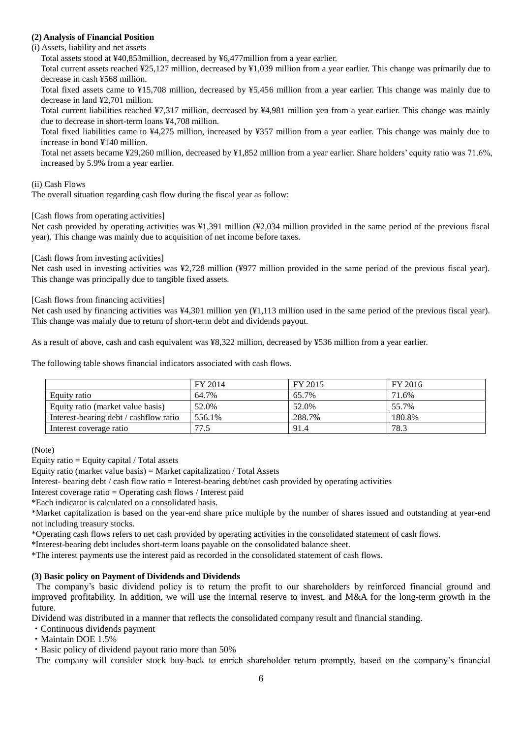## <span id="page-5-0"></span>**(2) Analysis of Financial Position**

(i) Assets, liability and net assets

Total assets stood at ¥40,853million, decreased by ¥6,477million from a year earlier.

Total current assets reached ¥25,127 million, decreased by ¥1,039 million from a year earlier. This change was primarily due to decrease in cash ¥568 million.

Total fixed assets came to ¥15,708 million, decreased by ¥5,456 million from a year earlier. This change was mainly due to decrease in land ¥2,701 million.

Total current liabilities reached ¥7,317 million, decreased by ¥4,981 million yen from a year earlier. This change was mainly due to decrease in short-term loans ¥4,708 million.

Total fixed liabilities came to ¥4,275 million, increased by ¥357 million from a year earlier. This change was mainly due to increase in bond ¥140 million.

Total net assets became ¥29,260 million, decreased by ¥1,852 million from a year earlier. Share holders' equity ratio was 71.6%, increased by 5.9% from a year earlier.

## (ii) Cash Flows

The overall situation regarding cash flow during the fiscal year as follow:

[Cash flows from operating activities]

Net cash provided by operating activities was ¥1,391 million (¥2,034 million provided in the same period of the previous fiscal year). This change was mainly due to acquisition of net income before taxes.

## [Cash flows from investing activities]

Net cash used in investing activities was ¥2,728 million (¥977 million provided in the same period of the previous fiscal year). This change was principally due to tangible fixed assets.

## [Cash flows from financing activities]

Net cash used by financing activities was ¥4,301 million yen (¥1,113 million used in the same period of the previous fiscal year). This change was mainly due to return of short-term debt and dividends payout.

As a result of above, cash and cash equivalent was ¥8,322 million, decreased by ¥536 million from a year earlier.

The following table shows financial indicators associated with cash flows.

|                                        | FY 2014 | FY 2015 | FY 2016 |
|----------------------------------------|---------|---------|---------|
| Equity ratio                           | 64.7%   | 65.7%   | 71.6%   |
| Equity ratio (market value basis)      | 52.0%   | 52.0%   | 55.7%   |
| Interest-bearing debt / cashflow ratio | 556.1%  | 288.7%  | 180.8%  |
| Interest coverage ratio                | 77.5    | 91.4    | 78.3    |

(Note)

Equity ratio  $=$  Equity capital / Total assets

Equity ratio (market value basis) = Market capitalization / Total Assets

Interest- bearing debt / cash flow ratio = Interest-bearing debt/net cash provided by operating activities

Interest coverage ratio = Operating cash flows / Interest paid

\*Each indicator is calculated on a consolidated basis.

\*Market capitalization is based on the year-end share price multiple by the number of shares issued and outstanding at year-end not including treasury stocks.

\*Operating cash flows refers to net cash provided by operating activities in the consolidated statement of cash flows.

\*Interest-bearing debt includes short-term loans payable on the consolidated balance sheet.

\*The interest payments use the interest paid as recorded in the consolidated statement of cash flows.

## <span id="page-5-1"></span>**(3) Basic policy on Payment of Dividends and Dividends**

The company's basic dividend policy is to return the profit to our shareholders by reinforced financial ground and improved profitability. In addition, we will use the internal reserve to invest, and M&A for the long-term growth in the future.

Dividend was distributed in a manner that reflects the consolidated company result and financial standing.

- ・Continuous dividends payment
- ・Maintain DOE 1.5%

・Basic policy of dividend payout ratio more than 50%

The company will consider stock buy-back to enrich shareholder return promptly, based on the company's financial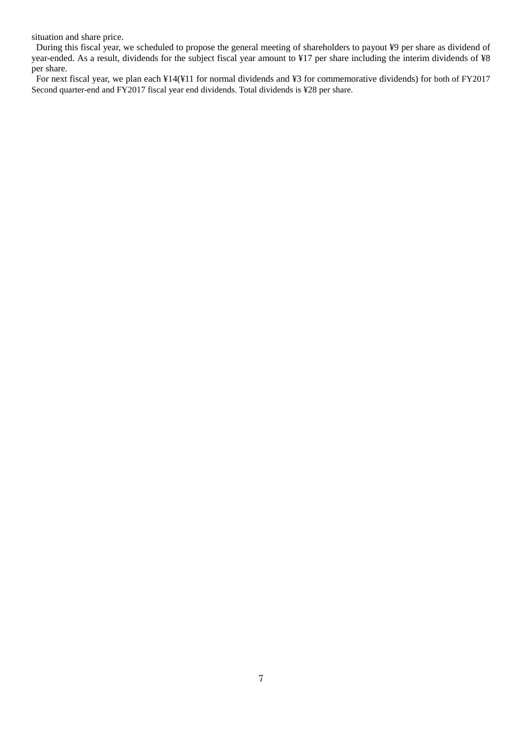situation and share price.

During this fiscal year, we scheduled to propose the general meeting of shareholders to payout ¥9 per share as dividend of year-ended. As a result, dividends for the subject fiscal year amount to ¥17 per share including the interim dividends of ¥8 per share.

For next fiscal year, we plan each ¥14(¥11 for normal dividends and ¥3 for commemorative dividends) for both of FY2017 Second quarter-end and FY2017 fiscal year end dividends. Total dividends is ¥28 per share.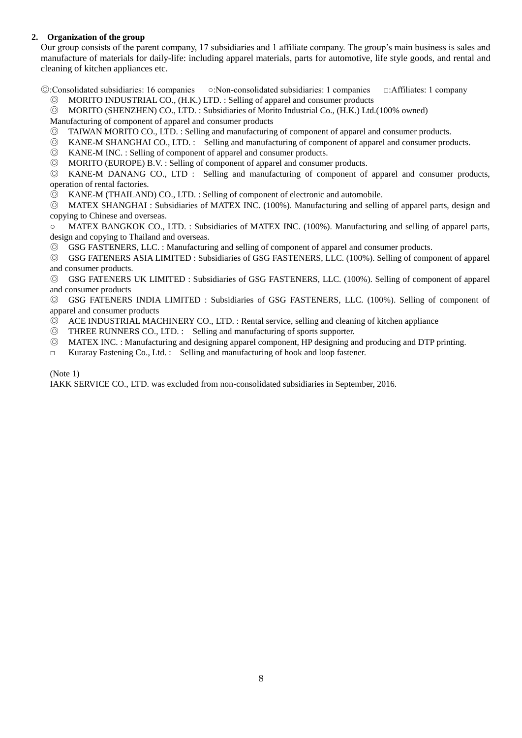## <span id="page-7-0"></span>**2. Organization of the group**

Our group consists of the parent company, 17 subsidiaries and 1 affiliate company. The group's main business is sales and manufacture of materials for daily-life: including apparel materials, parts for automotive, life style goods, and rental and cleaning of kitchen appliances etc.

◎:Consolidated subsidiaries: 16 companies ○:Non-consolidated subsidiaries: 1 companies □:Affiliates: 1 company

- ◎ MORITO INDUSTRIAL CO., (H.K.) LTD. : Selling of apparel and consumer products
- ◎ MORITO (SHENZHEN) CO., LTD. : Subsidiaries of Morito Industrial Co., (H.K.) Ltd.(100% owned)

Manufacturing of component of apparel and consumer products

- ◎ TAIWAN MORITO CO., LTD. : Selling and manufacturing of component of apparel and consumer products.
- ◎ KANE-M SHANGHAI CO., LTD. : Selling and manufacturing of component of apparel and consumer products.
- ◎ KANE-M INC. : Selling of component of apparel and consumer products.
- ◎ MORITO (EUROPE) B.V. : Selling of component of apparel and consumer products.

◎ KANE-M DANANG CO., LTD : Selling and manufacturing of component of apparel and consumer products, operation of rental factories.

◎ KANE-M (THAILAND) CO., LTD. : Selling of component of electronic and automobile.

◎ MATEX SHANGHAI : Subsidiaries of MATEX INC. (100%). Manufacturing and selling of apparel parts, design and copying to Chinese and overseas.

○ MATEX BANGKOK CO., LTD. : Subsidiaries of MATEX INC. (100%). Manufacturing and selling of apparel parts, design and copying to Thailand and overseas.

© GSG FASTENERS, LLC. : Manufacturing and selling of component of apparel and consumer products.

◎ GSG FATENERS ASIA LIMITED : Subsidiaries of GSG FASTENERS, LLC. (100%). Selling of component of apparel and consumer products.

◎ GSG FATENERS UK LIMITED : Subsidiaries of GSG FASTENERS, LLC. (100%). Selling of component of apparel and consumer products

◎ GSG FATENERS INDIA LIMITED : Subsidiaries of GSG FASTENERS, LLC. (100%). Selling of component of apparel and consumer products

- ◎ ACE INDUSTRIAL MACHINERY CO., LTD. : Rental service, selling and cleaning of kitchen appliance
- ◎ THREE RUNNERS CO., LTD. : Selling and manufacturing of sports supporter.
- ◎ MATEX INC. : Manufacturing and designing apparel component, HP designing and producing and DTP printing.
- □ Kuraray Fastening Co., Ltd. : Selling and manufacturing of hook and loop fastener.

#### (Note 1)

IAKK SERVICE CO., LTD. was excluded from non-consolidated subsidiaries in September, 2016.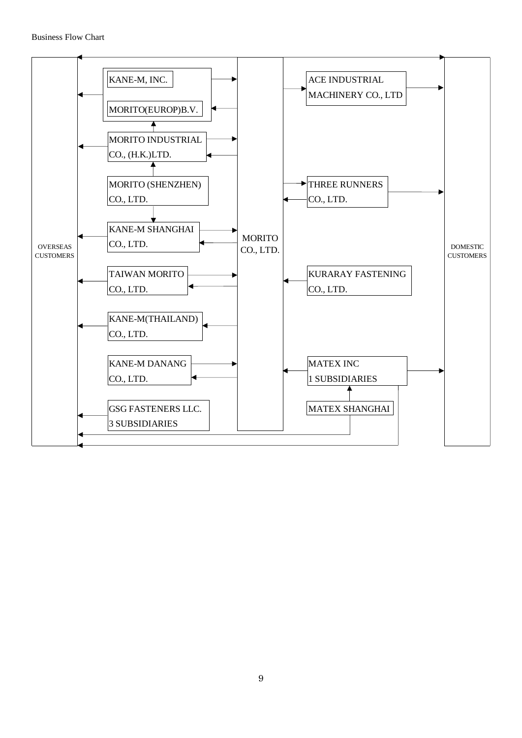#### Business Flow Chart

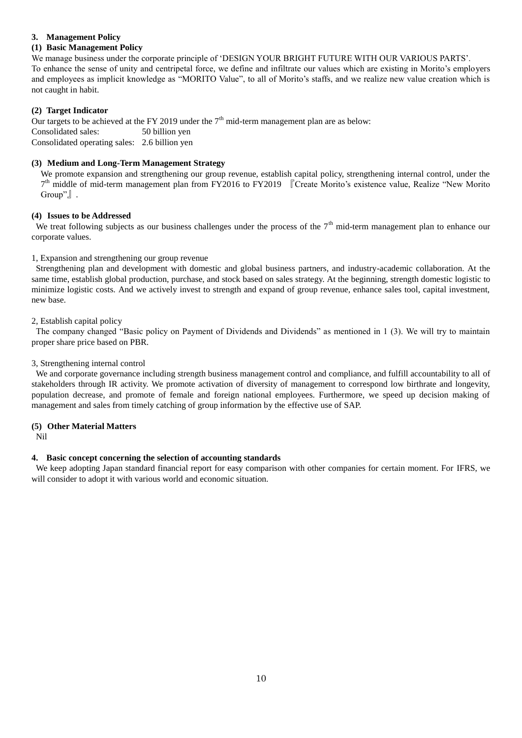## <span id="page-9-0"></span>**3. Management Policy**

## <span id="page-9-1"></span>**(1) Basic Management Policy**

We manage business under the corporate principle of 'DESIGN YOUR BRIGHT FUTURE WITH OUR VARIOUS PARTS'. To enhance the sense of unity and centripetal force, we define and infiltrate our values which are existing in Morito's employers and employees as implicit knowledge as "MORITO Value", to all of Morito's staffs, and we realize new value creation which is not caught in habit.

### <span id="page-9-2"></span>**(2) Target Indicator**

Our targets to be achieved at the FY 2019 under the  $7<sup>th</sup>$  mid-term management plan are as below: Consolidated sales: 50 billion yen Consolidated operating sales: 2.6 billion yen

## <span id="page-9-3"></span>**(3) Medium and Long-Term Management Strategy**

We promote expansion and strengthening our group revenue, establish capital policy, strengthening internal control, under the 7<sup>th</sup> middle of mid-term management plan from FY2016 to FY2019 [Create Morito's existence value, Realize "New Morito Group"』.

#### <span id="page-9-4"></span>**(4) Issues to be Addressed**

We treat following subjects as our business challenges under the process of the  $7<sup>th</sup>$  mid-term management plan to enhance our corporate values.

1, Expansion and strengthening our group revenue

Strengthening plan and development with domestic and global business partners, and industry-academic collaboration. At the same time, establish global production, purchase, and stock based on sales strategy. At the beginning, strength domestic logistic to minimize logistic costs. And we actively invest to strength and expand of group revenue, enhance sales tool, capital investment, new base.

2, Establish capital policy

The company changed "Basic policy on Payment of Dividends and Dividends" as mentioned in 1 (3). We will try to maintain proper share price based on PBR.

#### 3, Strengthening internal control

We and corporate governance including strength business management control and compliance, and fulfill accountability to all of stakeholders through IR activity. We promote activation of diversity of management to correspond low birthrate and longevity, population decrease, and promote of female and foreign national employees. Furthermore, we speed up decision making of management and sales from timely catching of group information by the effective use of SAP.

#### <span id="page-9-5"></span>**(5) Other Material Matters**

Nil

## <span id="page-9-6"></span>**4. Basic concept concerning the selection of accounting standards**

We keep adopting Japan standard financial report for easy comparison with other companies for certain moment. For IFRS, we will consider to adopt it with various world and economic situation.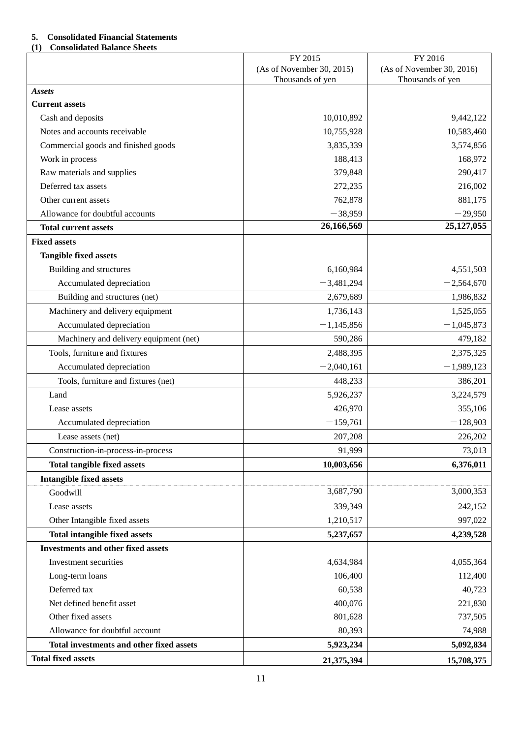# <span id="page-10-0"></span>**5. Consolidated Financial Statements**

# <span id="page-10-1"></span>**(1) Consolidated Balance Sheets**

|                                           | FY 2015                   | FY 2016                   |
|-------------------------------------------|---------------------------|---------------------------|
|                                           | (As of November 30, 2015) | (As of November 30, 2016) |
| <b>Assets</b>                             | Thousands of yen          | Thousands of yen          |
| <b>Current assets</b>                     |                           |                           |
| Cash and deposits                         | 10,010,892                | 9,442,122                 |
| Notes and accounts receivable             | 10,755,928                | 10,583,460                |
| Commercial goods and finished goods       | 3,835,339                 | 3,574,856                 |
| Work in process                           | 188,413                   | 168,972                   |
| Raw materials and supplies                | 379,848                   | 290,417                   |
| Deferred tax assets                       | 272,235                   | 216,002                   |
| Other current assets                      | 762,878                   | 881,175                   |
| Allowance for doubtful accounts           | $-38,959$                 | $-29,950$                 |
| <b>Total current assets</b>               | 26,166,569                | 25,127,055                |
| <b>Fixed assets</b>                       |                           |                           |
| <b>Tangible fixed assets</b>              |                           |                           |
| Building and structures                   | 6,160,984                 | 4,551,503                 |
| Accumulated depreciation                  | $-3,481,294$              | $-2,564,670$              |
| Building and structures (net)             | 2,679,689                 | 1,986,832                 |
| Machinery and delivery equipment          | 1,736,143                 | 1,525,055                 |
| Accumulated depreciation                  | $-1,145,856$              | $-1,045,873$              |
| Machinery and delivery equipment (net)    | 590,286                   | 479,182                   |
| Tools, furniture and fixtures             | 2,488,395                 | 2,375,325                 |
| Accumulated depreciation                  | $-2,040,161$              | $-1,989,123$              |
| Tools, furniture and fixtures (net)       | 448,233                   | 386,201                   |
| Land                                      | 5,926,237                 | 3,224,579                 |
| Lease assets                              | 426,970                   | 355,106                   |
| Accumulated depreciation                  | $-159,761$                | $-128,903$                |
| Lease assets (net)                        | 207,208                   | 226,202                   |
| Construction-in-process-in-process        | 91,999                    | 73,013                    |
| <b>Total tangible fixed assets</b>        | 10,003,656                | 6,376,011                 |
| <b>Intangible fixed assets</b>            |                           |                           |
| Goodwill                                  | 3,687,790                 | 3,000,353                 |
| Lease assets                              | 339,349                   | 242,152                   |
| Other Intangible fixed assets             | 1,210,517                 | 997,022                   |
| <b>Total intangible fixed assets</b>      | 5,237,657                 | 4,239,528                 |
| <b>Investments and other fixed assets</b> |                           |                           |
| Investment securities                     | 4,634,984                 | 4,055,364                 |
| Long-term loans                           | 106,400                   | 112,400                   |
| Deferred tax                              | 60,538                    | 40,723                    |
| Net defined benefit asset                 | 400,076                   | 221,830                   |
| Other fixed assets                        | 801,628                   | 737,505                   |
| Allowance for doubtful account            | $-80,393$                 | $-74,988$                 |
| Total investments and other fixed assets  | 5,923,234                 | 5,092,834                 |
| <b>Total fixed assets</b>                 | 21,375,394                | 15,708,375                |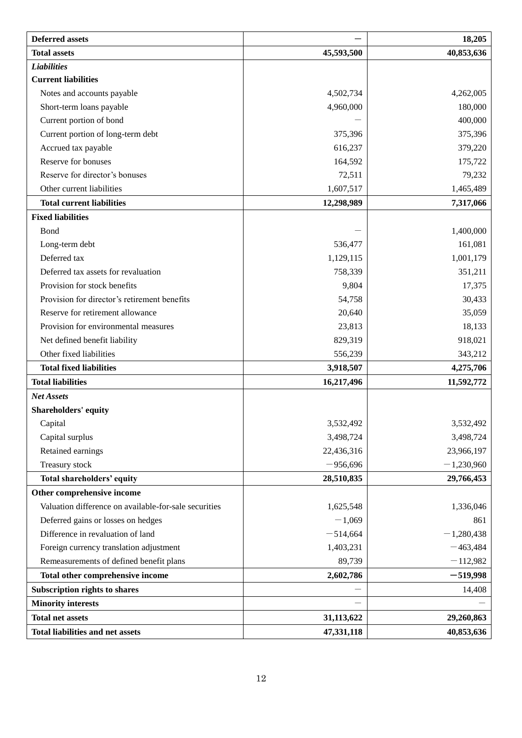| <b>Deferred assets</b>                                |            | 18,205       |
|-------------------------------------------------------|------------|--------------|
| <b>Total assets</b>                                   | 45,593,500 | 40,853,636   |
| <b>Liabilities</b>                                    |            |              |
| <b>Current liabilities</b>                            |            |              |
| Notes and accounts payable                            | 4,502,734  | 4,262,005    |
| Short-term loans payable                              | 4,960,000  | 180,000      |
| Current portion of bond                               |            | 400,000      |
| Current portion of long-term debt                     | 375,396    | 375,396      |
| Accrued tax payable                                   | 616,237    | 379,220      |
| Reserve for bonuses                                   | 164,592    | 175,722      |
| Reserve for director's bonuses                        | 72,511     | 79,232       |
| Other current liabilities                             | 1,607,517  | 1,465,489    |
| <b>Total current liabilities</b>                      | 12,298,989 | 7,317,066    |
| <b>Fixed liabilities</b>                              |            |              |
| Bond                                                  |            | 1,400,000    |
| Long-term debt                                        | 536,477    | 161,081      |
| Deferred tax                                          | 1,129,115  | 1,001,179    |
| Deferred tax assets for revaluation                   | 758,339    | 351,211      |
| Provision for stock benefits                          | 9,804      | 17,375       |
| Provision for director's retirement benefits          | 54,758     | 30,433       |
| Reserve for retirement allowance                      | 20,640     | 35,059       |
| Provision for environmental measures                  | 23,813     | 18,133       |
| Net defined benefit liability                         | 829,319    | 918,021      |
| Other fixed liabilities                               | 556,239    | 343,212      |
| <b>Total fixed liabilities</b>                        | 3,918,507  | 4,275,706    |
| <b>Total liabilities</b>                              | 16,217,496 | 11,592,772   |
| <b>Net Assets</b>                                     |            |              |
| <b>Shareholders' equity</b>                           |            |              |
| Capital                                               | 3,532,492  | 3,532,492    |
| Capital surplus                                       | 3,498,724  | 3,498,724    |
| Retained earnings                                     | 22,436,316 | 23,966,197   |
| Treasury stock                                        | $-956,696$ | $-1,230,960$ |
| <b>Total shareholders' equity</b>                     | 28,510,835 | 29,766,453   |
| Other comprehensive income                            |            |              |
| Valuation difference on available-for-sale securities | 1,625,548  | 1,336,046    |
| Deferred gains or losses on hedges                    | $-1,069$   | 861          |
| Difference in revaluation of land                     | $-514,664$ | $-1,280,438$ |
| Foreign currency translation adjustment               | 1,403,231  | $-463,484$   |
| Remeasurements of defined benefit plans               | 89,739     | $-112,982$   |
| Total other comprehensive income                      | 2,602,786  | $-519,998$   |
| Subscription rights to shares                         |            | 14,408       |
| <b>Minority interests</b>                             |            |              |
| <b>Total net assets</b>                               | 31,113,622 | 29,260,863   |
| Total liabilities and net assets                      | 47,331,118 | 40,853,636   |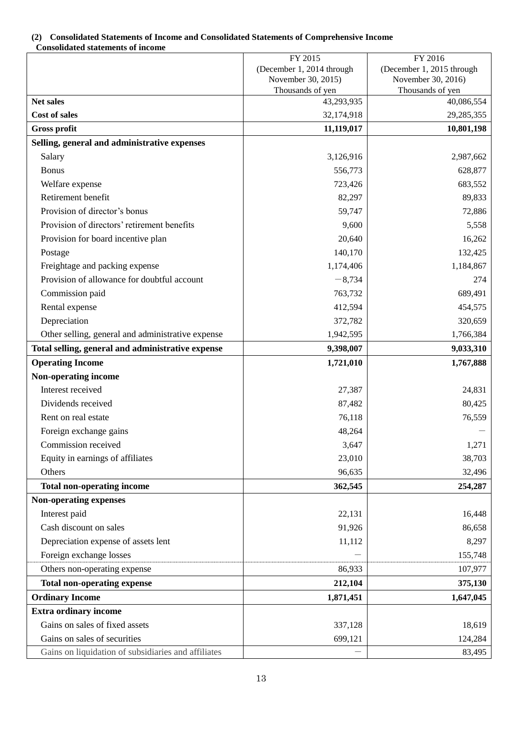## <span id="page-12-0"></span>**(2) Consolidated Statements of Income and Consolidated Statements of Comprehensive Income Consolidated statements of income**

|                                                     | FY 2015                                | FY 2016                                |
|-----------------------------------------------------|----------------------------------------|----------------------------------------|
|                                                     | (December 1, 2014 through              | (December 1, 2015 through              |
|                                                     | November 30, 2015)<br>Thousands of yen | November 30, 2016)<br>Thousands of yen |
| Net sales                                           | 43,293,935                             | 40,086,554                             |
| <b>Cost of sales</b>                                | 32,174,918                             | 29, 285, 355                           |
| <b>Gross profit</b>                                 | 11,119,017                             | 10,801,198                             |
| Selling, general and administrative expenses        |                                        |                                        |
| Salary                                              | 3,126,916                              | 2,987,662                              |
| <b>Bonus</b>                                        | 556,773                                | 628,877                                |
| Welfare expense                                     | 723,426                                | 683,552                                |
| Retirement benefit                                  | 82,297                                 | 89,833                                 |
| Provision of director's bonus                       | 59,747                                 | 72,886                                 |
| Provision of directors' retirement benefits         | 9,600                                  | 5,558                                  |
| Provision for board incentive plan                  | 20,640                                 | 16,262                                 |
| Postage                                             | 140,170                                | 132,425                                |
| Freightage and packing expense                      | 1,174,406                              | 1,184,867                              |
| Provision of allowance for doubtful account         | $-8,734$                               | 274                                    |
| Commission paid                                     | 763,732                                | 689,491                                |
| Rental expense                                      | 412,594                                | 454,575                                |
| Depreciation                                        | 372,782                                | 320,659                                |
| Other selling, general and administrative expense   | 1,942,595                              | 1,766,384                              |
| Total selling, general and administrative expense   | 9,398,007                              | 9,033,310                              |
| <b>Operating Income</b>                             | 1,721,010                              | 1,767,888                              |
| Non-operating income                                |                                        |                                        |
| Interest received                                   | 27,387                                 | 24,831                                 |
| Dividends received                                  | 87,482                                 | 80,425                                 |
| Rent on real estate                                 | 76,118                                 | 76,559                                 |
| Foreign exchange gains                              | 48,264                                 |                                        |
| Commission received                                 | 3,647                                  | 1,271                                  |
| Equity in earnings of affiliates                    | 23,010                                 | 38,703                                 |
| Others                                              | 96,635                                 | 32,496                                 |
| <b>Total non-operating income</b>                   | 362,545                                | 254,287                                |
| <b>Non-operating expenses</b>                       |                                        |                                        |
| Interest paid                                       | 22,131                                 | 16,448                                 |
| Cash discount on sales                              | 91,926                                 | 86,658                                 |
| Depreciation expense of assets lent                 | 11,112                                 | 8,297                                  |
| Foreign exchange losses                             |                                        | 155,748                                |
| Others non-operating expense                        | 86,933                                 | 107,977                                |
| <b>Total non-operating expense</b>                  | 212,104                                | 375,130                                |
| <b>Ordinary Income</b>                              | 1,871,451                              | 1,647,045                              |
| <b>Extra ordinary income</b>                        |                                        |                                        |
| Gains on sales of fixed assets                      | 337,128                                | 18,619                                 |
| Gains on sales of securities                        | 699,121                                | 124,284                                |
| Gains on liquidation of subsidiaries and affiliates |                                        | 83,495                                 |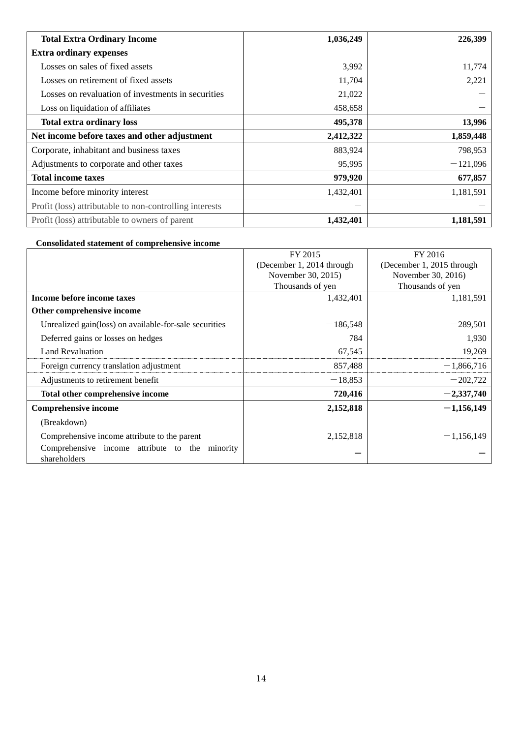| <b>Total Extra Ordinary Income</b>                      | 1,036,249 | 226,399    |
|---------------------------------------------------------|-----------|------------|
| <b>Extra ordinary expenses</b>                          |           |            |
| Losses on sales of fixed assets                         | 3,992     | 11,774     |
| Losses on retirement of fixed assets                    | 11,704    | 2,221      |
| Losses on revaluation of investments in securities      | 21,022    |            |
| Loss on liquidation of affiliates                       | 458,658   |            |
| <b>Total extra ordinary loss</b>                        | 495,378   | 13,996     |
| Net income before taxes and other adjustment            | 2,412,322 | 1,859,448  |
| Corporate, inhabitant and business taxes                | 883,924   | 798,953    |
| Adjustments to corporate and other taxes                | 95,995    | $-121,096$ |
| <b>Total income taxes</b>                               | 979,920   | 677,857    |
| Income before minority interest                         | 1,432,401 | 1,181,591  |
| Profit (loss) attributable to non-controlling interests | –         |            |
| Profit (loss) attributable to owners of parent          | 1,432,401 | 1,181,591  |

# **Consolidated statement of comprehensive income**

|                                                        | FY 2015                   | FY 2016                   |  |
|--------------------------------------------------------|---------------------------|---------------------------|--|
|                                                        | (December 1, 2014 through | (December 1, 2015 through |  |
|                                                        | November 30, 2015)        | November 30, 2016)        |  |
|                                                        | Thousands of yen          | Thousands of yen          |  |
| Income before income taxes                             | 1,432,401                 | 1,181,591                 |  |
| Other comprehensive income                             |                           |                           |  |
| Unrealized gain(loss) on available-for-sale securities | $-186,548$                | $-289,501$                |  |
| Deferred gains or losses on hedges                     | 784                       | 1,930                     |  |
| Land Revaluation                                       | 67,545                    | 19,269                    |  |
| Foreign currency translation adjustment                | 857,488                   | $-1,866,716$              |  |
| Adjustments to retirement benefit                      | $-18,853$                 | $-202,722$                |  |
| Total other comprehensive income                       | 720,416                   | $-2,337,740$              |  |
| <b>Comprehensive income</b>                            | 2,152,818                 | $-1,156,149$              |  |
| (Breakdown)                                            |                           |                           |  |
| Comprehensive income attribute to the parent           | 2,152,818                 | $-1,156,149$              |  |
| Comprehensive income attribute to the minority         |                           |                           |  |
| shareholders                                           |                           |                           |  |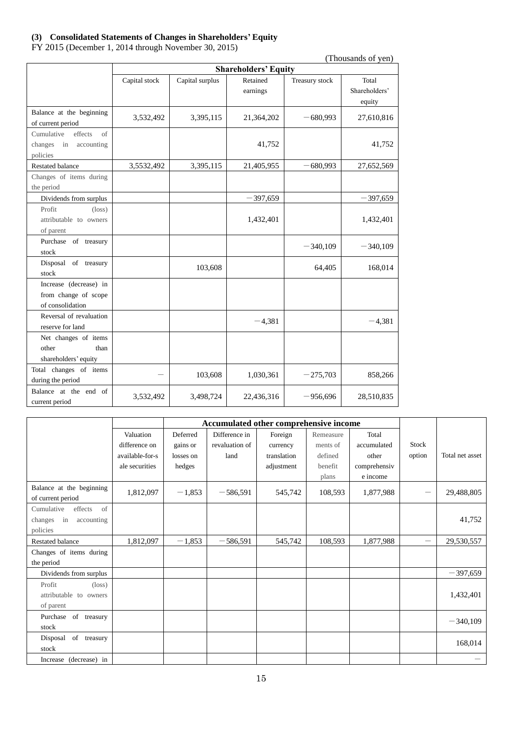# <span id="page-14-0"></span>**(3) Consolidated Statements of Changes in Shareholders' Equity**

FY 2015 (December 1, 2014 through November 30, 2015)

| (Thousands of yen)                                                     |                             |                 |                      |                |                                  |  |
|------------------------------------------------------------------------|-----------------------------|-----------------|----------------------|----------------|----------------------------------|--|
|                                                                        | <b>Shareholders' Equity</b> |                 |                      |                |                                  |  |
|                                                                        | Capital stock               | Capital surplus | Retained<br>earnings | Treasury stock | Total<br>Shareholders'<br>equity |  |
| Balance at the beginning<br>of current period                          | 3,532,492                   | 3,395,115       | 21,364,202           | $-680,993$     | 27,610,816                       |  |
| Cumulative<br>effects<br>of<br>changes<br>in<br>accounting<br>policies |                             |                 | 41,752               |                | 41,752                           |  |
| <b>Restated balance</b>                                                | 3,5532,492                  | 3,395,115       | 21,405,955           | 680,993        | 27,652,569                       |  |
| Changes of items during<br>the period                                  |                             |                 |                      |                |                                  |  |
| Dividends from surplus                                                 |                             |                 | $-397,659$           |                | $-397,659$                       |  |
| Profit<br>$(\text{loss})$<br>attributable to owners<br>of parent       |                             |                 | 1,432,401            |                | 1,432,401                        |  |
| Purchase of treasury<br>stock                                          |                             |                 |                      | $-340,109$     | $-340,109$                       |  |
| Disposal of treasury<br>stock                                          |                             | 103,608         |                      | 64,405         | 168,014                          |  |
| Increase (decrease) in<br>from change of scope<br>of consolidation     |                             |                 |                      |                |                                  |  |
| Reversal of revaluation<br>reserve for land                            |                             |                 | $-4,381$             |                | $-4,381$                         |  |
| Net changes of items<br>other<br>than<br>shareholders' equity          |                             |                 |                      |                |                                  |  |
| Total changes of items<br>during the period                            |                             | 103,608         | 1,030,361            | $-275,703$     | 858,266                          |  |
| Balance at the end of<br>current period                                | 3,532,492                   | 3,498,724       | 22,436,316           | $-956,696$     | 28,510,835                       |  |

|                             |                 | Accumulated other comprehensive income |                |             |           |              |        |                 |
|-----------------------------|-----------------|----------------------------------------|----------------|-------------|-----------|--------------|--------|-----------------|
|                             | Valuation       | Deferred                               | Difference in  | Foreign     | Remeasure | Total        |        |                 |
|                             | difference on   | gains or                               | revaluation of | currency    | ments of  | accumulated  | Stock  |                 |
|                             | available-for-s | losses on                              | land           | translation | defined   | other        | option | Total net asset |
|                             | ale securities  | hedges                                 |                | adjustment  | benefit   | comprehensiv |        |                 |
|                             |                 |                                        |                |             | plans     | e income     |        |                 |
| Balance at the beginning    | 1,812,097       | $-1,853$                               | $-586,591$     | 545,742     | 108,593   | 1,877,988    | —      | 29,488,805      |
| of current period           |                 |                                        |                |             |           |              |        |                 |
| of<br>Cumulative<br>effects |                 |                                        |                |             |           |              |        |                 |
| in<br>changes<br>accounting |                 |                                        |                |             |           |              |        | 41,752          |
| policies                    |                 |                                        |                |             |           |              |        |                 |
| <b>Restated balance</b>     | 1,812,097       | $-1,853$                               | $-586,591$     | 545,742     | 108,593   | 1,877,988    |        | 29,530,557      |
| Changes of items during     |                 |                                        |                |             |           |              |        |                 |
| the period                  |                 |                                        |                |             |           |              |        |                 |
| Dividends from surplus      |                 |                                        |                |             |           |              |        | $-397,659$      |
| Profit<br>$(\text{loss})$   |                 |                                        |                |             |           |              |        |                 |
| attributable to owners      |                 |                                        |                |             |           |              |        | 1,432,401       |
| of parent                   |                 |                                        |                |             |           |              |        |                 |
| Purchase<br>of treasury     |                 |                                        |                |             |           |              |        |                 |
| stock                       |                 |                                        |                |             |           |              |        | $-340,109$      |
| Disposal of treasury        |                 |                                        |                |             |           |              |        | 168,014         |
| stock                       |                 |                                        |                |             |           |              |        |                 |
| Increase (decrease) in      |                 |                                        |                |             |           |              |        |                 |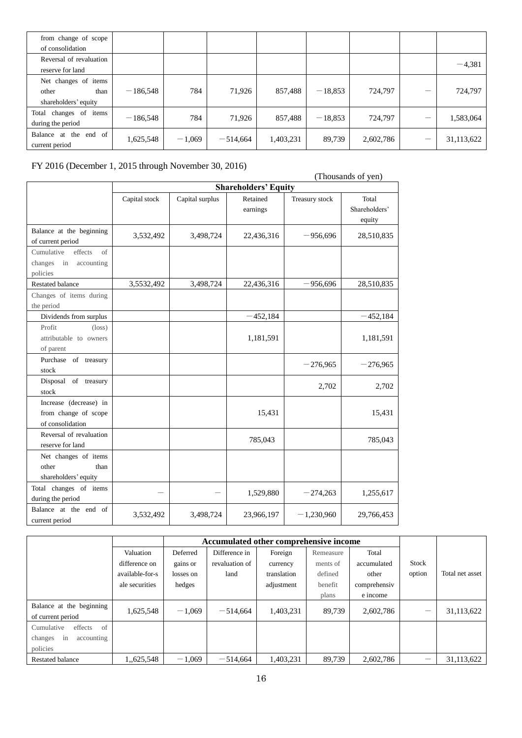| from change of scope                                          |            |          |            |           |           |           |            |
|---------------------------------------------------------------|------------|----------|------------|-----------|-----------|-----------|------------|
| of consolidation                                              |            |          |            |           |           |           |            |
| Reversal of revaluation<br>reserve for land                   |            |          |            |           |           |           | $-4,381$   |
| Net changes of items<br>other<br>than<br>shareholders' equity | $-186,548$ | 784      | 71,926     | 857,488   | $-18,853$ | 724,797   | 724,797    |
| changes of<br>Total<br>items<br>during the period             | $-186,548$ | 784      | 71,926     | 857,488   | $-18,853$ | 724,797   | 1,583,064  |
| Balance at the end of<br>current period                       | 1,625,548  | $-1,069$ | $-514,664$ | 1,403,231 | 89,739    | 2,602,786 | 31,113,622 |

FY 2016 (December 1, 2015 through November 30, 2016)

 $\frac{100\text{ g}}{\text{Starabalders' Favity}}$  (Thousands of yen)

|                                                                     |               | (1100000000001, 1000)<br><b>Shareholders' Equity</b> |                      |                |                                  |  |  |  |
|---------------------------------------------------------------------|---------------|------------------------------------------------------|----------------------|----------------|----------------------------------|--|--|--|
|                                                                     | Capital stock | Capital surplus                                      | Retained<br>earnings | Treasury stock | Total<br>Shareholders'<br>equity |  |  |  |
| Balance at the beginning<br>of current period                       | 3,532,492     | 3,498,724                                            | 22,436,316           | $-956,696$     | 28,510,835                       |  |  |  |
| Cumulative<br>effects<br>of<br>changes<br>in accounting<br>policies |               |                                                      |                      |                |                                  |  |  |  |
| Restated balance                                                    | 3,5532,492    | 3,498,724                                            | 22,436,316           | $-956,696$     | 28,510,835                       |  |  |  |
| Changes of items during<br>the period                               |               |                                                      |                      |                |                                  |  |  |  |
| Dividends from surplus                                              |               |                                                      | $-452,184$           |                | $-452,184$                       |  |  |  |
| Profit<br>$(\text{loss})$<br>attributable to owners<br>of parent    |               |                                                      | 1,181,591            |                | 1,181,591                        |  |  |  |
| Purchase of treasury<br>stock                                       |               |                                                      |                      | $-276,965$     | $-276,965$                       |  |  |  |
| Disposal of treasury<br>stock                                       |               |                                                      |                      | 2,702          | 2,702                            |  |  |  |
| Increase (decrease) in<br>from change of scope<br>of consolidation  |               |                                                      | 15,431               |                | 15,431                           |  |  |  |
| Reversal of revaluation<br>reserve for land                         |               |                                                      | 785,043              |                | 785,043                          |  |  |  |
| Net changes of items<br>other<br>than<br>shareholders' equity       |               |                                                      |                      |                |                                  |  |  |  |
| Total changes of items<br>during the period                         |               |                                                      | 1,529,880            | $-274,263$     | 1,255,617                        |  |  |  |
| Balance at the end of<br>current period                             | 3,532,492     | 3,498,724                                            | 23,966,197           | $-1,230,960$   | 29,766,453                       |  |  |  |

|                                        |                 |           | Accumulated other comprehensive income |             |           |              |              |                 |
|----------------------------------------|-----------------|-----------|----------------------------------------|-------------|-----------|--------------|--------------|-----------------|
|                                        | Valuation       | Deferred  | Difference in                          | Foreign     | Remeasure | Total        |              |                 |
|                                        | difference on   | gains or  | revaluation of                         | currency    | ments of  | accumulated  | <b>Stock</b> |                 |
|                                        | available-for-s | losses on | land                                   | translation | defined   | other        | option       | Total net asset |
|                                        | ale securities  | hedges    |                                        | adjustment  | benefit   | comprehensiv |              |                 |
|                                        |                 |           |                                        |             | plans     | e income     |              |                 |
| Balance at the beginning               | 1,625,548       | $-1.069$  | $-514,664$                             | 1,403,231   | 89.739    | 2,602,786    |              | 31,113,622      |
| of current period                      |                 |           |                                        |             |           |              |              |                 |
| Cumulative<br>effects<br><sub>of</sub> |                 |           |                                        |             |           |              |              |                 |
| in<br>accounting<br>changes            |                 |           |                                        |             |           |              |              |                 |
| policies                               |                 |           |                                        |             |           |              |              |                 |
| <b>Restated balance</b>                | 1,625,548       | $-1.069$  | $-514,664$                             | 1,403,231   | 89,739    | 2,602,786    |              | 31,113,622      |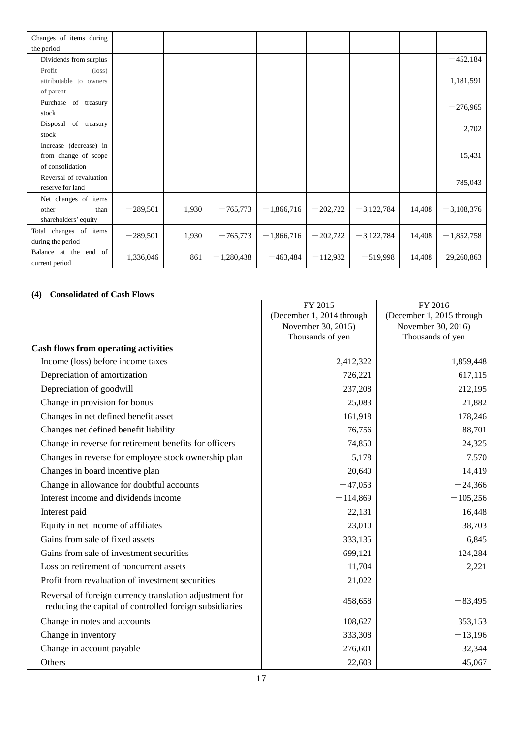| Changes of items during                                            |            |       |              |              |            |              |        |              |
|--------------------------------------------------------------------|------------|-------|--------------|--------------|------------|--------------|--------|--------------|
| the period                                                         |            |       |              |              |            |              |        |              |
| Dividends from surplus                                             |            |       |              |              |            |              |        | $-452,184$   |
| Profit<br>$(\text{loss})$<br>attributable to owners<br>of parent   |            |       |              |              |            |              |        | 1,181,591    |
| Purchase of treasury<br>stock                                      |            |       |              |              |            |              |        | $-276,965$   |
| Disposal of treasury<br>stock                                      |            |       |              |              |            |              |        | 2,702        |
| Increase (decrease) in<br>from change of scope<br>of consolidation |            |       |              |              |            |              |        | 15,431       |
| Reversal of revaluation<br>reserve for land                        |            |       |              |              |            |              |        | 785,043      |
| Net changes of items<br>other<br>than<br>shareholders' equity      | $-289,501$ | 1,930 | $-765,773$   | $-1,866,716$ | $-202,722$ | $-3,122,784$ | 14,408 | $-3,108,376$ |
| Total changes of items<br>during the period                        | $-289,501$ | 1,930 | $-765,773$   | $-1,866,716$ | $-202,722$ | $-3,122,784$ | 14,408 | $-1,852,758$ |
| Balance at the end of<br>current period                            | 1,336,046  | 861   | $-1,280,438$ | $-463,484$   | $-112,982$ | $-519,998$   | 14,408 | 29,260,863   |

## <span id="page-16-0"></span>**(4) Consolidated of Cash Flows**

|                                                                                                                    | FY 2015                   | FY 2016                   |
|--------------------------------------------------------------------------------------------------------------------|---------------------------|---------------------------|
|                                                                                                                    | (December 1, 2014 through | (December 1, 2015 through |
|                                                                                                                    | November 30, 2015)        | November 30, 2016)        |
|                                                                                                                    | Thousands of yen          | Thousands of yen          |
| <b>Cash flows from operating activities</b>                                                                        |                           |                           |
| Income (loss) before income taxes                                                                                  | 2,412,322                 | 1,859,448                 |
| Depreciation of amortization                                                                                       | 726,221                   | 617,115                   |
| Depreciation of goodwill                                                                                           | 237,208                   | 212,195                   |
| Change in provision for bonus                                                                                      | 25,083                    | 21,882                    |
| Changes in net defined benefit asset                                                                               | $-161,918$                | 178,246                   |
| Changes net defined benefit liability                                                                              | 76,756                    | 88,701                    |
| Change in reverse for retirement benefits for officers                                                             | $-74,850$                 | $-24,325$                 |
| Changes in reverse for employee stock ownership plan                                                               | 5,178                     | 7.570                     |
| Changes in board incentive plan                                                                                    | 20,640                    | 14,419                    |
| Change in allowance for doubtful accounts                                                                          | $-47,053$                 | $-24,366$                 |
| Interest income and dividends income                                                                               | $-114,869$                | $-105,256$                |
| Interest paid                                                                                                      | 22,131                    | 16,448                    |
| Equity in net income of affiliates                                                                                 | $-23,010$                 | $-38,703$                 |
| Gains from sale of fixed assets                                                                                    | $-333,135$                | $-6,845$                  |
| Gains from sale of investment securities                                                                           | $-699,121$                | $-124,284$                |
| Loss on retirement of noncurrent assets                                                                            | 11,704                    | 2,221                     |
| Profit from revaluation of investment securities                                                                   | 21,022                    |                           |
| Reversal of foreign currency translation adjustment for<br>reducing the capital of controlled foreign subsidiaries | 458,658                   | $-83,495$                 |
| Change in notes and accounts                                                                                       | $-108,627$                | $-353,153$                |
| Change in inventory                                                                                                | 333,308                   | $-13,196$                 |
| Change in account payable                                                                                          | $-276,601$                | 32,344                    |
| Others                                                                                                             | 22,603                    | 45,067                    |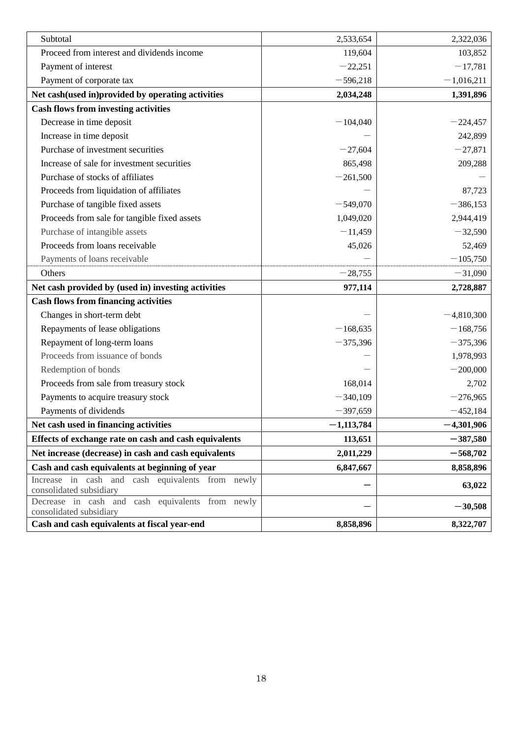| Subtotal                                                                    | 2,533,654    | 2,322,036    |
|-----------------------------------------------------------------------------|--------------|--------------|
| Proceed from interest and dividends income                                  | 119,604      | 103,852      |
| Payment of interest                                                         | $-22,251$    | $-17,781$    |
| Payment of corporate tax                                                    | $-596,218$   | $-1,016,211$ |
| Net cash(used in)provided by operating activities                           | 2,034,248    | 1,391,896    |
| <b>Cash flows from investing activities</b>                                 |              |              |
| Decrease in time deposit                                                    | $-104,040$   | $-224,457$   |
| Increase in time deposit                                                    |              | 242,899      |
| Purchase of investment securities                                           | $-27,604$    | $-27,871$    |
| Increase of sale for investment securities                                  | 865,498      | 209,288      |
| Purchase of stocks of affiliates                                            | $-261,500$   |              |
| Proceeds from liquidation of affiliates                                     |              | 87,723       |
| Purchase of tangible fixed assets                                           | $-549,070$   | $-386,153$   |
| Proceeds from sale for tangible fixed assets                                | 1,049,020    | 2,944,419    |
| Purchase of intangible assets                                               | $-11,459$    | $-32,590$    |
| Proceeds from loans receivable                                              | 45,026       | 52,469       |
| Payments of loans receivable                                                |              | $-105,750$   |
| Others                                                                      | $-28,755$    | $-31,090$    |
| Net cash provided by (used in) investing activities                         | 977,114      | 2,728,887    |
| <b>Cash flows from financing activities</b>                                 |              |              |
| Changes in short-term debt                                                  |              | $-4,810,300$ |
| Repayments of lease obligations                                             | $-168,635$   | $-168,756$   |
| Repayment of long-term loans                                                | $-375,396$   | $-375,396$   |
| Proceeds from issuance of bonds                                             |              | 1,978,993    |
| Redemption of bonds                                                         |              | $-200,000$   |
|                                                                             |              |              |
| Proceeds from sale from treasury stock                                      | 168,014      | 2,702        |
| Payments to acquire treasury stock                                          | $-340,109$   | $-276,965$   |
| Payments of dividends                                                       | $-397,659$   | $-452,184$   |
| Net cash used in financing activities                                       | $-1,113,784$ | $-4,301,906$ |
| Effects of exchange rate on cash and cash equivalents                       | 113,651      | $-387,580$   |
| Net increase (decrease) in cash and cash equivalents                        | 2,011,229    | $-568,702$   |
| Cash and cash equivalents at beginning of year                              | 6,847,667    | 8,858,896    |
| Increase in cash and cash equivalents from newly                            |              | 63,022       |
| consolidated subsidiary                                                     |              |              |
| Decrease in cash and cash equivalents from newly<br>consolidated subsidiary |              | $-30,508$    |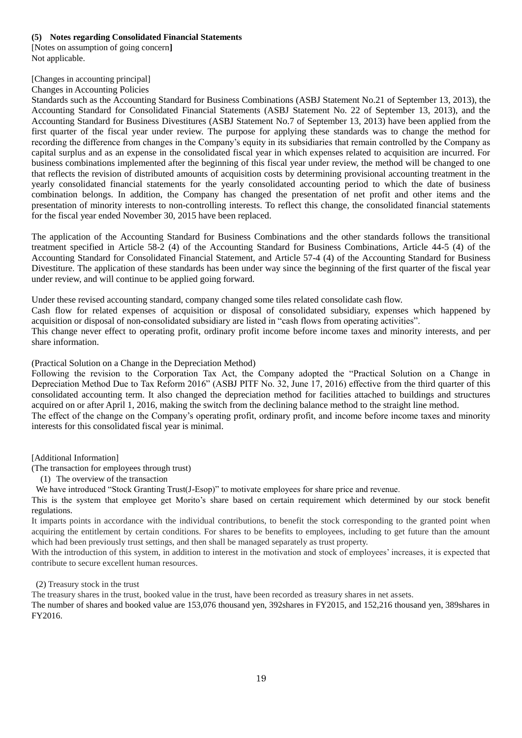## <span id="page-18-0"></span>**(5) Notes regarding Consolidated Financial Statements**

<span id="page-18-1"></span>[Notes on assumption of going concern**]** Not applicable.

## <span id="page-18-2"></span>[Changes in accounting principal]

Changes in Accounting Policies

Standards such as the Accounting Standard for Business Combinations (ASBJ Statement No.21 of September 13, 2013), the Accounting Standard for Consolidated Financial Statements (ASBJ Statement No. 22 of September 13, 2013), and the Accounting Standard for Business Divestitures (ASBJ Statement No.7 of September 13, 2013) have been applied from the first quarter of the fiscal year under review. The purpose for applying these standards was to change the method for recording the difference from changes in the Company's equity in its subsidiaries that remain controlled by the Company as capital surplus and as an expense in the consolidated fiscal year in which expenses related to acquisition are incurred. For business combinations implemented after the beginning of this fiscal year under review, the method will be changed to one that reflects the revision of distributed amounts of acquisition costs by determining provisional accounting treatment in the yearly consolidated financial statements for the yearly consolidated accounting period to which the date of business combination belongs. In addition, the Company has changed the presentation of net profit and other items and the presentation of minority interests to non-controlling interests. To reflect this change, the consolidated financial statements for the fiscal year ended November 30, 2015 have been replaced.

The application of the Accounting Standard for Business Combinations and the other standards follows the transitional treatment specified in Article 58-2 (4) of the Accounting Standard for Business Combinations, Article 44-5 (4) of the Accounting Standard for Consolidated Financial Statement, and Article 57-4 (4) of the Accounting Standard for Business Divestiture. The application of these standards has been under way since the beginning of the first quarter of the fiscal year under review, and will continue to be applied going forward.

Under these revised accounting standard, company changed some tiles related consolidate cash flow.

Cash flow for related expenses of acquisition or disposal of consolidated subsidiary, expenses which happened by acquisition or disposal of non-consolidated subsidiary are listed in "cash flows from operating activities".

This change never effect to operating profit, ordinary profit income before income taxes and minority interests, and per share information.

(Practical Solution on a Change in the Depreciation Method)

Following the revision to the Corporation Tax Act, the Company adopted the "Practical Solution on a Change in Depreciation Method Due to Tax Reform 2016" (ASBJ PITF No. 32, June 17, 2016) effective from the third quarter of this consolidated accounting term. It also changed the depreciation method for facilities attached to buildings and structures acquired on or after April 1, 2016, making the switch from the declining balance method to the straight line method. The effect of the change on the Company's operating profit, ordinary profit, and income before income taxes and minority

interests for this consolidated fiscal year is minimal.

<span id="page-18-3"></span>[Additional Information]

(The transaction for employees through trust)

(1) The overview of the transaction

We have introduced "Stock Granting Trust(J-Esop)" to motivate employees for share price and revenue.

This is the system that employee get Morito's share based on certain requirement which determined by our stock benefit regulations.

It imparts points in accordance with the individual contributions, to benefit the stock corresponding to the granted point when acquiring the entitlement by certain conditions. For shares to be benefits to employees, including to get future than the amount which had been previously trust settings, and then shall be managed separately as trust property.

With the introduction of this system, in addition to interest in the motivation and stock of employees' increases, it is expected that contribute to secure excellent human resources.

(2) Treasury stock in the trust

The treasury shares in the trust, booked value in the trust, have been recorded as treasury shares in net assets.

The number of shares and booked value are 153,076 thousand yen, 392shares in FY2015, and 152,216 thousand yen, 389shares in FY2016.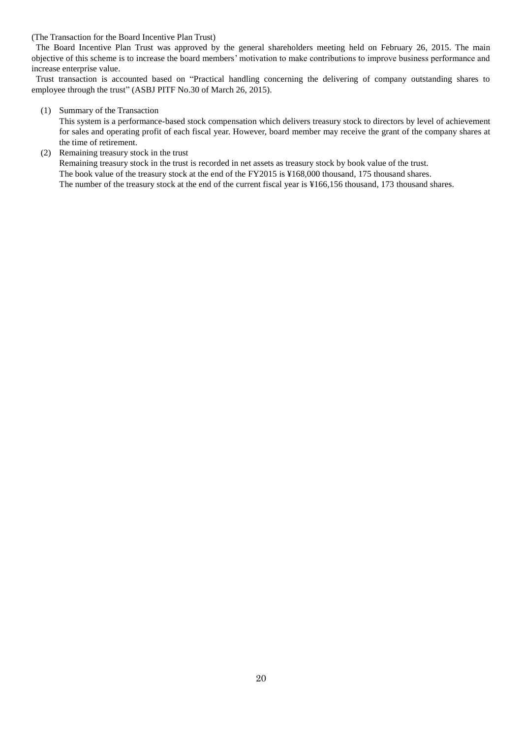(The Transaction for the Board Incentive Plan Trust)

The Board Incentive Plan Trust was approved by the general shareholders meeting held on February 26, 2015. The main objective of this scheme is to increase the board members' motivation to make contributions to improve business performance and increase enterprise value.

Trust transaction is accounted based on "Practical handling concerning the delivering of company outstanding shares to employee through the trust" (ASBJ PITF No.30 of March 26, 2015).

#### (1) Summary of the Transaction

This system is a performance-based stock compensation which delivers treasury stock to directors by level of achievement for sales and operating profit of each fiscal year. However, board member may receive the grant of the company shares at the time of retirement.

### (2) Remaining treasury stock in the trust

Remaining treasury stock in the trust is recorded in net assets as treasury stock by book value of the trust. The book value of the treasury stock at the end of the FY2015 is ¥168,000 thousand, 175 thousand shares. The number of the treasury stock at the end of the current fiscal year is ¥166,156 thousand, 173 thousand shares.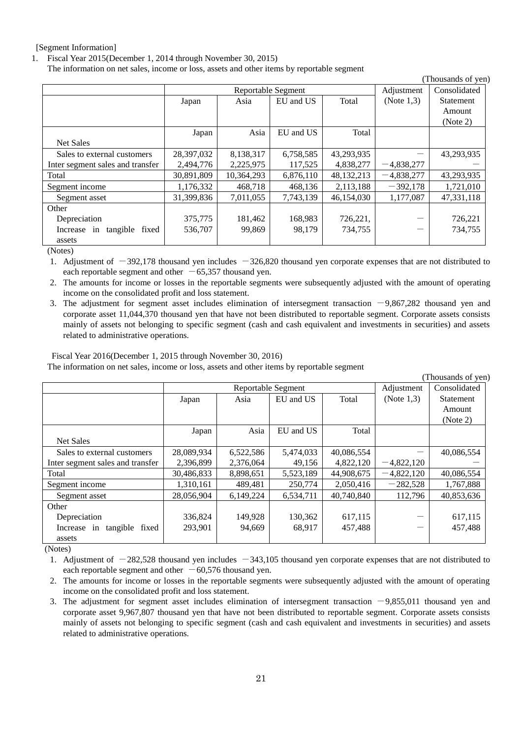#### <span id="page-20-0"></span>[Segment Information]

1. Fiscal Year 2015(December 1, 2014 through November 30, 2015)

The information on net sales, income or loss, assets and other items by reportable segment

| THOUSAIRES OF YELL               |            |                    |           |            |               |            |  |
|----------------------------------|------------|--------------------|-----------|------------|---------------|------------|--|
|                                  |            | Reportable Segment |           | Adjustment | Consolidated  |            |  |
|                                  | Japan      | Asia               | EU and US | Total      | (Note $1,3$ ) | Statement  |  |
|                                  |            |                    |           |            |               | Amount     |  |
|                                  |            |                    |           |            |               | (Note 2)   |  |
|                                  | Japan      | Asia               | EU and US | Total      |               |            |  |
| <b>Net Sales</b>                 |            |                    |           |            |               |            |  |
| Sales to external customers      | 28,397,032 | 8,138,317          | 6,758,585 | 43,293,935 |               | 43,293,935 |  |
| Inter segment sales and transfer | 2,494,776  | 2,225,975          | 117,525   | 4,838,277  | $-4,838,277$  |            |  |
| Total                            | 30,891,809 | 10,364,293         | 6,876,110 | 48,132,213 | $-4,838,277$  | 43,293,935 |  |
| Segment income                   | 1,176,332  | 468,718            | 468,136   | 2,113,188  | $-392,178$    | 1,721,010  |  |
| Segment asset                    | 31,399,836 | 7,011,055          | 7,743,139 | 46,154,030 | 1,177,087     | 47,331,118 |  |
| Other                            |            |                    |           |            |               |            |  |
| Depreciation                     | 375,775    | 181,462            | 168,983   | 726,221,   |               | 726,221    |  |
| tangible<br>Increase in<br>fixed | 536,707    | 99,869             | 98,179    | 734,755    |               | 734,755    |  |
| assets                           |            |                    |           |            |               |            |  |

(Thousands of  $_{\text{even}}$ )

(Notes)

1. Adjustment of  $-392,178$  thousand yen includes  $-326,820$  thousand yen corporate expenses that are not distributed to each reportable segment and other  $-65,357$  thousand yen.

2. The amounts for income or losses in the reportable segments were subsequently adjusted with the amount of operating income on the consolidated profit and loss statement.

3. The adjustment for segment asset includes elimination of intersegment transaction  $-9,867,282$  thousand yen and corporate asset 11,044,370 thousand yen that have not been distributed to reportable segment. Corporate assets consists mainly of assets not belonging to specific segment (cash and cash equivalent and investments in securities) and assets related to administrative operations.

Fiscal Year 2016(December 1, 2015 through November 30, 2016)

The information on net sales, income or loss, assets and other items by reportable segment

|                                  |            |                    |            |              |               | (Thousands of yen) |
|----------------------------------|------------|--------------------|------------|--------------|---------------|--------------------|
|                                  |            | Reportable Segment | Adjustment | Consolidated |               |                    |
|                                  | Japan      | Asia               | EU and US  | Total        | (Note $1,3$ ) | <b>Statement</b>   |
|                                  |            |                    |            |              |               | Amount             |
|                                  |            |                    |            |              |               | (Note 2)           |
|                                  | Japan      | Asia               | EU and US  | Total        |               |                    |
| <b>Net Sales</b>                 |            |                    |            |              |               |                    |
| Sales to external customers      | 28,089,934 | 6,522,586          | 5,474,033  | 40,086,554   |               | 40,086,554         |
| Inter segment sales and transfer | 2,396,899  | 2,376,064          | 49,156     | 4,822,120    | $-4,822,120$  |                    |
| Total                            | 30,486,833 | 8,898,651          | 5,523,189  | 44,908,675   | $-4,822,120$  | 40,086,554         |
| Segment income                   | 1,310,161  | 489,481            | 250,774    | 2,050,416    | $-282,528$    | 1,767,888          |
| Segment asset                    | 28,056,904 | 6,149,224          | 6,534,711  | 40,740,840   | 112,796       | 40,853,636         |
| Other                            |            |                    |            |              |               |                    |
| Depreciation                     | 336,824    | 149,928            | 130,362    | 617,115      |               | 617,115            |
| tangible<br>Increase in<br>fixed | 293,901    | 94,669             | 68,917     | 457,488      |               | 457,488            |
| assets                           |            |                    |            |              |               |                    |

(Notes)

1. Adjustment of  $-282,528$  thousand yen includes  $-343,105$  thousand yen corporate expenses that are not distributed to each reportable segment and other  $-60,576$  thousand yen.

2. The amounts for income or losses in the reportable segments were subsequently adjusted with the amount of operating income on the consolidated profit and loss statement.

3. The adjustment for segment asset includes elimination of intersegment transaction  $-9,855,011$  thousand yen and corporate asset 9,967,807 thousand yen that have not been distributed to reportable segment. Corporate assets consists mainly of assets not belonging to specific segment (cash and cash equivalent and investments in securities) and assets related to administrative operations.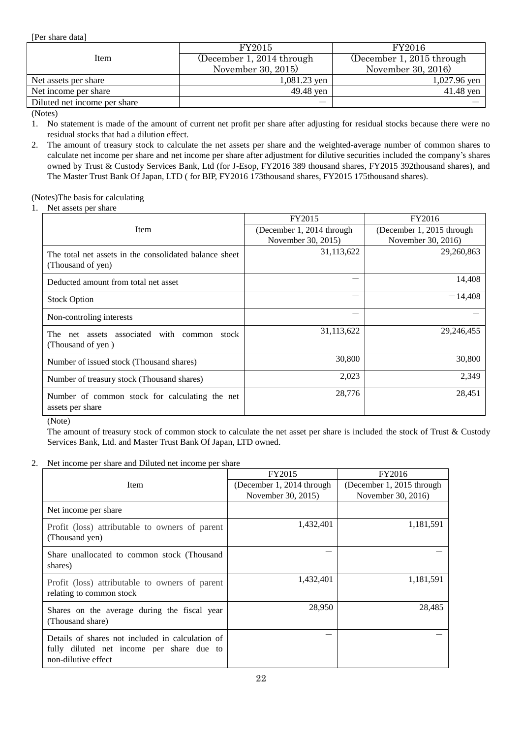<span id="page-21-0"></span>[Per share data]

|                              | FY2015                    | FY2016                    |
|------------------------------|---------------------------|---------------------------|
| Item                         | (December 1, 2014 through | (December 1, 2015 through |
|                              | November 30, 2015)        | November 30, 2016)        |
| Net assets per share         | 1,081.23 yen              | $1,027.96$ yen            |
| Net income per share         | 49.48 yen                 | $41.48$ yen               |
| Diluted net income per share |                           |                           |

(Notes)

1. No statement is made of the amount of current net profit per share after adjusting for residual stocks because there were no residual stocks that had a dilution effect.

2. The amount of treasury stock to calculate the net assets per share and the weighted-average number of common shares to calculate net income per share and net income per share after adjustment for dilutive securities included the company's shares owned by Trust & Custody Services Bank, Ltd (for J-Esop, FY2016 389 thousand shares, FY2015 392thousand shares), and The Master Trust Bank Of Japan, LTD ( for BIP, FY2016 173thousand shares, FY2015 175thousand shares).

(Notes)The basis for calculating

1. Net assets per share

|                                                                             | FY2015                    | FY2016                    |
|-----------------------------------------------------------------------------|---------------------------|---------------------------|
| <b>Item</b>                                                                 | (December 1, 2014 through | (December 1, 2015 through |
|                                                                             | November 30, 2015)        | November 30, 2016)        |
| The total net assets in the consolidated balance sheet<br>(Thousand of yen) | 31,113,622                | 29,260,863                |
| Deducted amount from total net asset                                        |                           | 14,408                    |
| <b>Stock Option</b>                                                         |                           | $-14,408$                 |
| Non-controling interests                                                    |                           |                           |
| associated with common<br>The<br>net assets<br>stock<br>(Thousand of yen)   | 31,113,622                | 29,246,455                |
| Number of issued stock (Thousand shares)                                    | 30,800                    | 30,800                    |
| Number of treasury stock (Thousand shares)                                  | 2,023                     | 2,349                     |
| Number of common stock for calculating the net<br>assets per share          | 28,776                    | 28,451                    |

(Note)

The amount of treasury stock of common stock to calculate the net asset per share is included the stock of Trust & Custody Services Bank, Ltd. and Master Trust Bank Of Japan, LTD owned.

### 2. Net income per share and Diluted net income per share

|                                                                                                                      | FY2015                    | FY2016                    |
|----------------------------------------------------------------------------------------------------------------------|---------------------------|---------------------------|
| Item                                                                                                                 | (December 1, 2014 through | (December 1, 2015 through |
|                                                                                                                      | November 30, 2015)        | November 30, 2016)        |
| Net income per share                                                                                                 |                           |                           |
| Profit (loss) attributable to owners of parent<br>(Thousand yen)                                                     | 1,432,401                 | 1,181,591                 |
| Share unallocated to common stock (Thousand<br>shares)                                                               |                           |                           |
| Profit (loss) attributable to owners of parent<br>relating to common stock                                           | 1,432,401                 | 1,181,591                 |
| Shares on the average during the fiscal year<br>(Thousand share)                                                     | 28,950                    | 28,485                    |
| Details of shares not included in calculation of<br>fully diluted net income per share due to<br>non-dilutive effect |                           |                           |